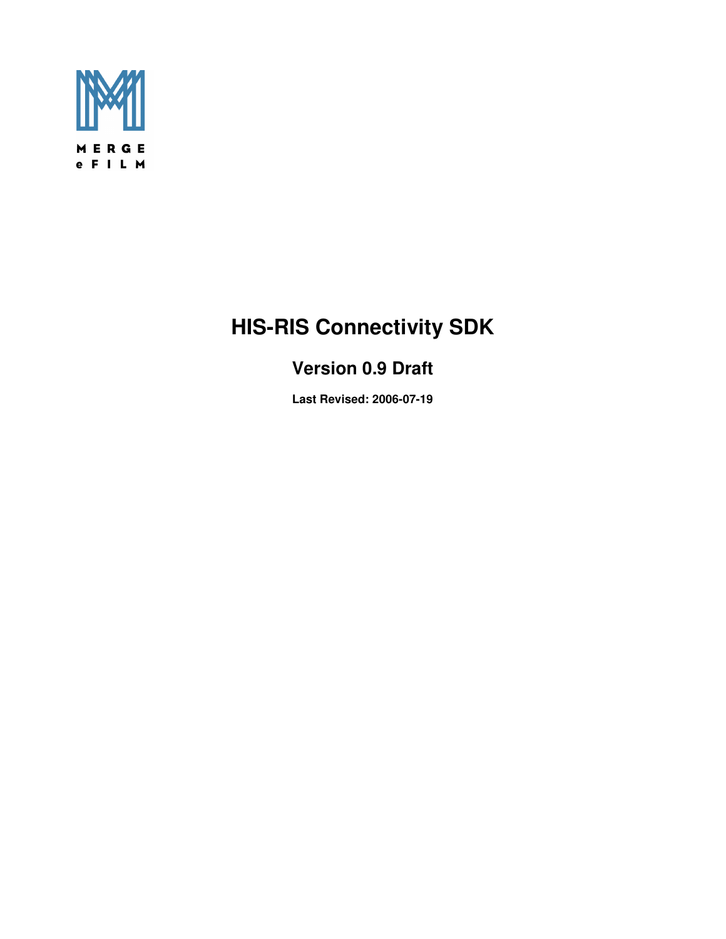

# **HIS-RIS Connectivity SDK**

# **Version 0.9 Draft**

**Last Revised: 2006-07-19**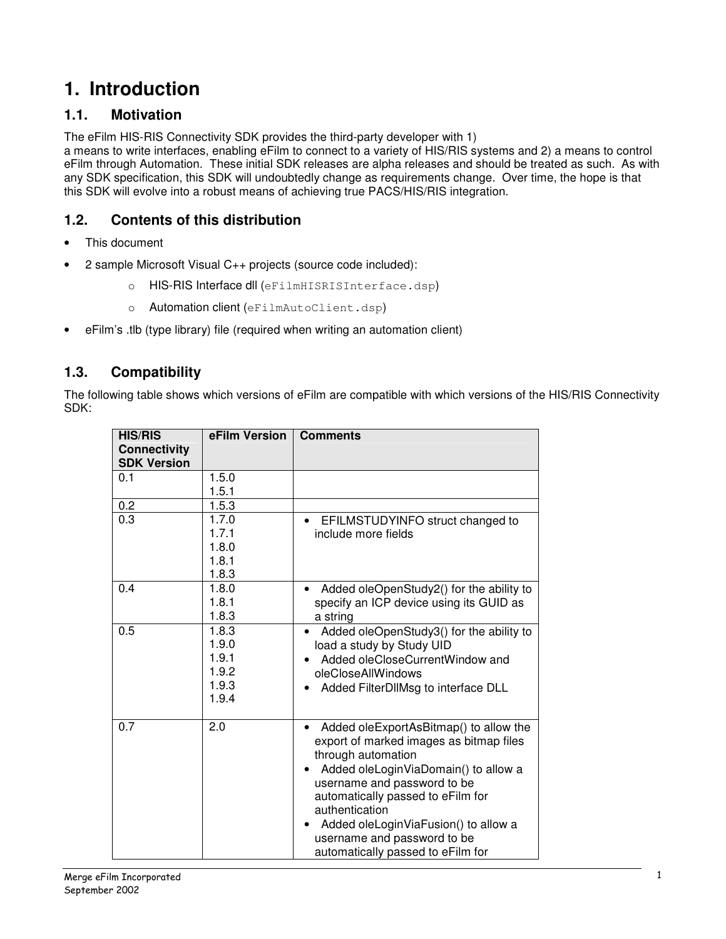# **1. Introduction**

## **1.1. Motivation**

The eFilm HIS-RIS Connectivity SDK provides the third-party developer with 1)

a means to write interfaces, enabling eFilm to connect to a variety of HIS/RIS systems and 2) a means to control eFilm through Automation. These initial SDK releases are alpha releases and should be treated as such. As with any SDK specification, this SDK will undoubtedly change as requirements change. Over time, the hope is that this SDK will evolve into a robust means of achieving true PACS/HIS/RIS integration.

## **1.2. Contents of this distribution**

- This document
- 2 sample Microsoft Visual C++ projects (source code included):
	- o HIS-RIS Interface dll (eFilmHISRISInterface.dsp)
	- o Automation client (eFilmAutoClient.dsp)
- eFilm's .tlb (type library) file (required when writing an automation client)

## **1.3. Compatibility**

The following table shows which versions of eFilm are compatible with which versions of the HIS/RIS Connectivity SDK:

| <b>HIS/RIS</b><br><b>Connectivity</b> | eFilm Version  | <b>Comments</b>                                                                                                            |
|---------------------------------------|----------------|----------------------------------------------------------------------------------------------------------------------------|
| <b>SDK Version</b>                    |                |                                                                                                                            |
| 0.1                                   | 1.5.0          |                                                                                                                            |
|                                       | 1.5.1          |                                                                                                                            |
| 0.2                                   | 1.5.3          |                                                                                                                            |
| 0.3                                   | 1.7.0          | EFILMSTUDYINFO struct changed to<br>$\bullet$                                                                              |
|                                       | 1.7.1          | include more fields                                                                                                        |
|                                       | 1.8.0          |                                                                                                                            |
|                                       | 1.8.1          |                                                                                                                            |
|                                       | 1.8.3          |                                                                                                                            |
| 0.4                                   | 1.8.0          | Added oleOpenStudy2() for the ability to                                                                                   |
|                                       | 1.8.1          | specify an ICP device using its GUID as                                                                                    |
|                                       | 1.8.3          | a string                                                                                                                   |
| 0.5                                   | 1.8.3<br>1.9.0 | Added oleOpenStudy3() for the ability to<br>load a study by Study UID                                                      |
|                                       | 1.9.1          | Added oleCloseCurrentWindow and                                                                                            |
|                                       | 1.9.2          | oleCloseAllWindows                                                                                                         |
|                                       | 1.9.3          | Added FilterDIIMsg to interface DLL                                                                                        |
|                                       | 1.9.4          |                                                                                                                            |
| 0.7                                   | 2.0            | Added oleExportAsBitmap() to allow the<br>export of marked images as bitmap files<br>through automation                    |
|                                       |                | Added oleLoginViaDomain() to allow a<br>username and password to be<br>automatically passed to eFilm for<br>authentication |
|                                       |                | Added oleLoginViaFusion() to allow a<br>username and password to be<br>automatically passed to eFilm for                   |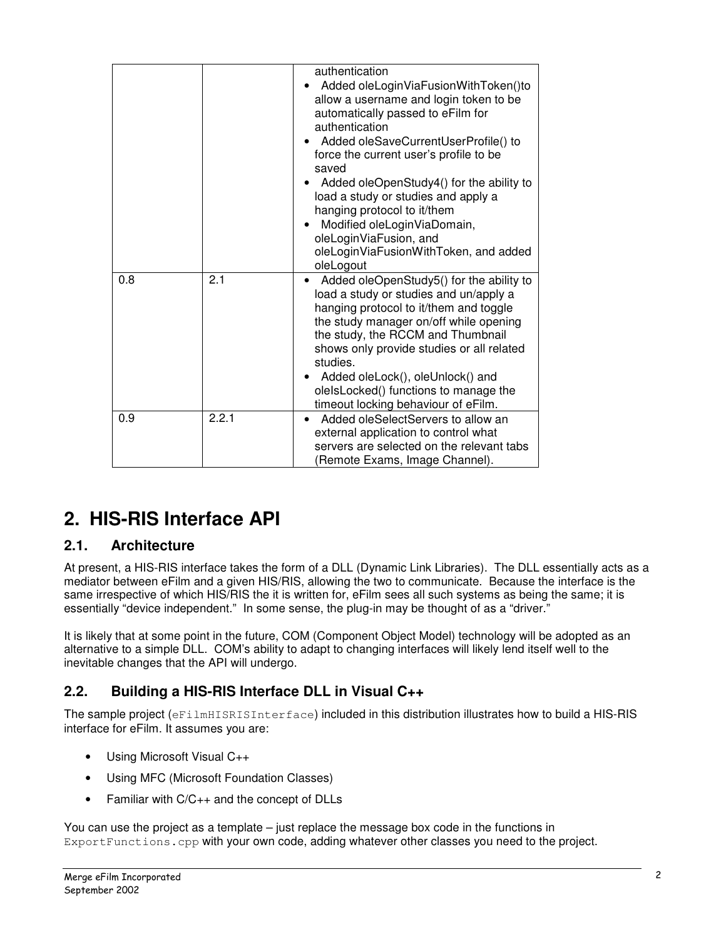|     |       | authentication<br>Added oleLoginViaFusionWithToken()to<br>allow a username and login token to be<br>automatically passed to eFilm for<br>authentication<br>Added oleSaveCurrentUserProfile() to<br>force the current user's profile to be<br>saved<br>Added oleOpenStudy4() for the ability to<br>load a study or studies and apply a<br>hanging protocol to it/them<br>Modified oleLoginViaDomain,<br>oleLoginViaFusion, and<br>oleLoginViaFusionWithToken, and added<br>oleLogout |
|-----|-------|-------------------------------------------------------------------------------------------------------------------------------------------------------------------------------------------------------------------------------------------------------------------------------------------------------------------------------------------------------------------------------------------------------------------------------------------------------------------------------------|
| 0.8 | 2.1   | Added oleOpenStudy5() for the ability to<br>load a study or studies and un/apply a<br>hanging protocol to it/them and toggle<br>the study manager on/off while opening<br>the study, the RCCM and Thumbnail<br>shows only provide studies or all related<br>studies.<br>Added oleLock(), oleUnlock() and<br>olelsLocked() functions to manage the                                                                                                                                   |
|     |       | timeout locking behaviour of eFilm.                                                                                                                                                                                                                                                                                                                                                                                                                                                 |
| 0.9 | 2.2.1 | Added oleSelectServers to allow an<br>external application to control what<br>servers are selected on the relevant tabs<br>(Remote Exams, Image Channel).                                                                                                                                                                                                                                                                                                                           |

# **2. HIS-RIS Interface API**

## **2.1. Architecture**

At present, a HIS-RIS interface takes the form of a DLL (Dynamic Link Libraries). The DLL essentially acts as a mediator between eFilm and a given HIS/RIS, allowing the two to communicate. Because the interface is the same irrespective of which HIS/RIS the it is written for, eFilm sees all such systems as being the same; it is essentially "device independent." In some sense, the plug-in may be thought of as a "driver."

It is likely that at some point in the future, COM (Component Object Model) technology will be adopted as an alternative to a simple DLL. COM's ability to adapt to changing interfaces will likely lend itself well to the inevitable changes that the API will undergo.

# **2.2. Building a HIS-RIS Interface DLL in Visual C++**

The sample project (eFilmHISRISInterface) included in this distribution illustrates how to build a HIS-RIS interface for eFilm. It assumes you are:

- Using Microsoft Visual C++
- Using MFC (Microsoft Foundation Classes)
- Familiar with C/C++ and the concept of DLLs

You can use the project as a template – just replace the message box code in the functions in ExportFunctions.cpp with your own code, adding whatever other classes you need to the project.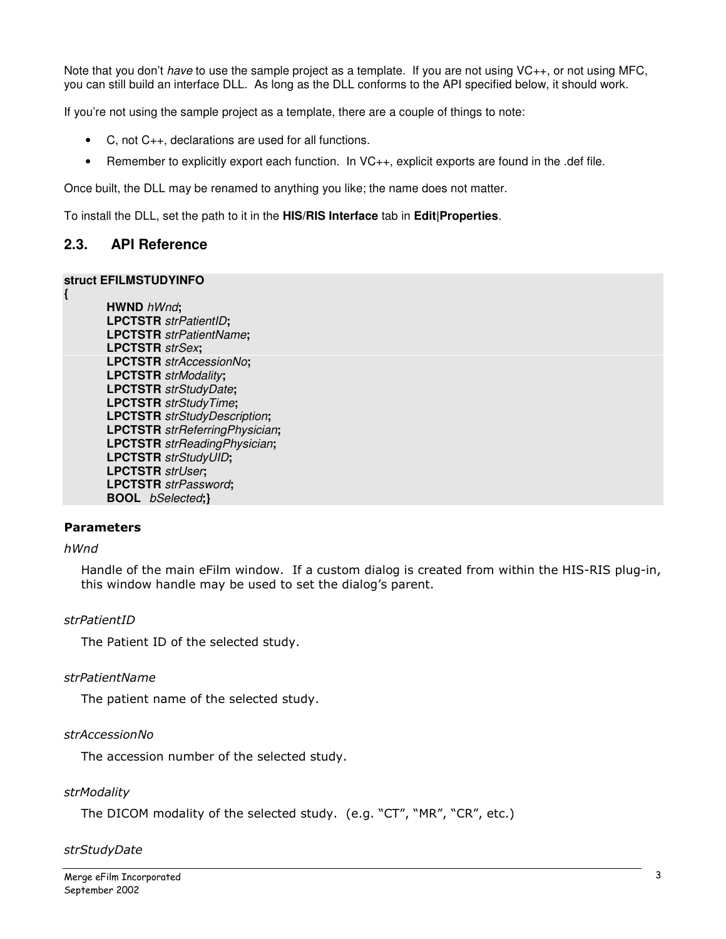Note that you don't have to use the sample project as a template. If you are not using VC++, or not using MFC, you can still build an interface DLL. As long as the DLL conforms to the API specified below, it should work.

If you're not using the sample project as a template, there are a couple of things to note:

- C, not C++, declarations are used for all functions.
- Remember to explicitly export each function. In VC++, explicit exports are found in the .def file.

Once built, the DLL may be renamed to anything you like; the name does not matter.

To install the DLL, set the path to it in the **HIS/RIS Interface** tab in **Edit|Properties**.

## **2.3. API Reference**

#### **struct EFILMSTUDYINFO**

 **HWND** hWnd**; LPCTSTR** strPatientID**; LPCTSTR** strPatientName**; LPCTSTR** strSex**; LPCTSTR** strAccessionNo**; LPCTSTR** strModality**; LPCTSTR** strStudyDate**; LPCTSTR** strStudyTime**; LPCTSTR** strStudyDescription**; LPCTSTR** strReferringPhysician**; LPCTSTR** strReadingPhysician**; LPCTSTR** strStudyUID**; LPCTSTR** strUser**; LPCTSTR** strPassword**; BOOL** bSelected**;}** 

#### Parameters

#### hWnd

**{** 

Handle of the main eFilm window. If a custom dialog is created from within the HIS-RIS plug-in, this window handle may be used to set the dialog's parent.

#### strPatientID

The Patient ID of the selected study.

#### strPatientName

The patient name of the selected study.

#### strAccessionNo

The accession number of the selected study.

#### **strModality**

The DICOM modality of the selected study. (e.g. "CT", "MR", "CR", etc.)

#### strStudyDate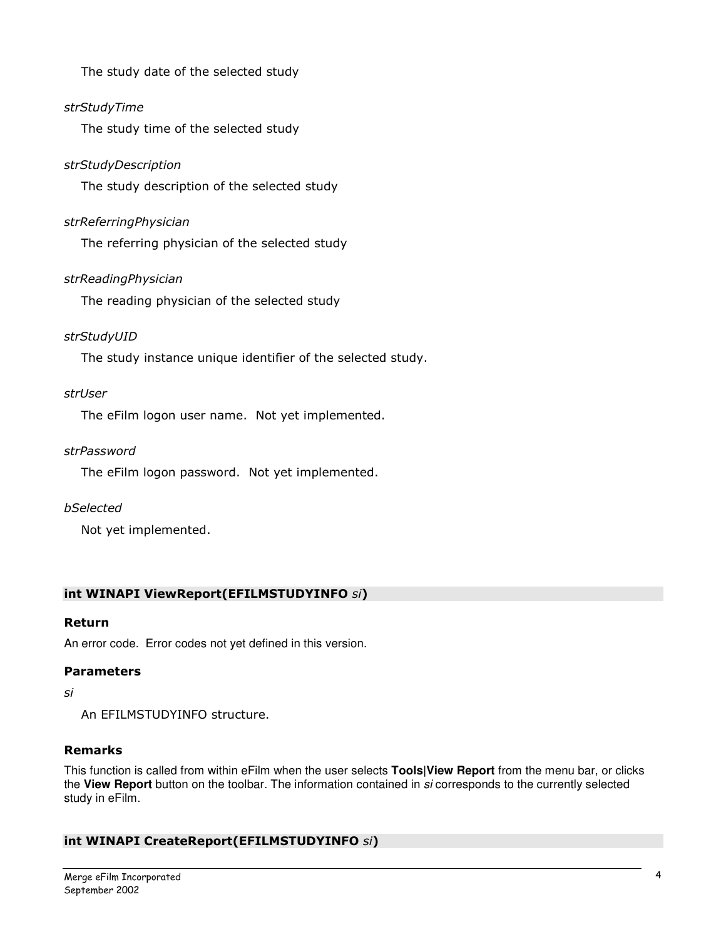The study date of the selected study

## strStudyTime

The study time of the selected study

## strStudyDescription

The study description of the selected study

## strReferringPhysician

The referring physician of the selected study

## strReadingPhysician

The reading physician of the selected study

## strStudyUID

The study instance unique identifier of the selected study.

## strUser

The eFilm logon user name. Not yet implemented.

## strPassword

The eFilm logon password. Not yet implemented.

## bSelected

Not yet implemented.

## int WINAPI ViewReport(EFILMSTUDYINFO si)

## Return

An error code. Error codes not yet defined in this version.

## Parameters

#### si

An EFILMSTUDYINFO structure.

## Remarks

This function is called from within eFilm when the user selects **Tools|View Report** from the menu bar, or clicks the **View Report** button on the toolbar. The information contained in si corresponds to the currently selected study in eFilm.

## int WINAPI CreateReport(EFILMSTUDYINFO si)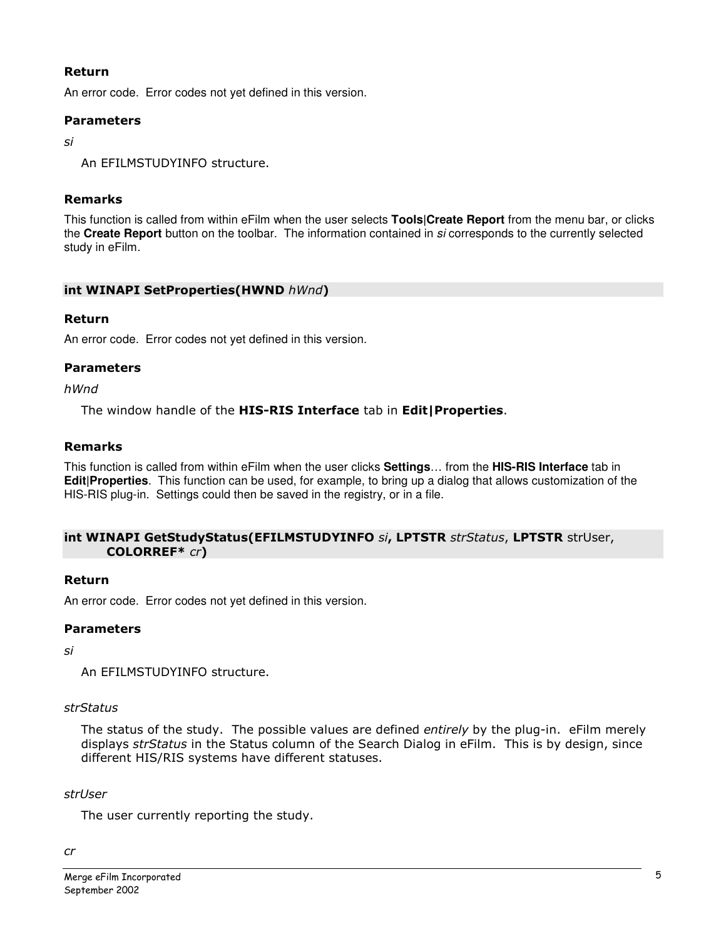## Return

An error code. Error codes not yet defined in this version.

## **Parameters**

si

An EFILMSTUDYINFO structure.

## Remarks

This function is called from within eFilm when the user selects **Tools|Create Report** from the menu bar, or clicks the **Create Report** button on the toolbar. The information contained in si corresponds to the currently selected study in eFilm.

## int WINAPI SetProperties(HWND hWnd)

## Return

An error code. Error codes not yet defined in this version.

## Parameters

hWnd

The window handle of the HIS-RIS Interface tab in Edit|Properties.

## Remarks

This function is called from within eFilm when the user clicks **Settings**… from the **HIS-RIS Interface** tab in **Edit|Properties**. This function can be used, for example, to bring up a dialog that allows customization of the HIS-RIS plug-in. Settings could then be saved in the registry, or in a file.

#### int WINAPI GetStudyStatus(EFILMSTUDYINFO si, LPTSTR strStatus, LPTSTR strUser, COLORREF\* cr)

## Return

An error code. Error codes not yet defined in this version.

## Parameters

si

An EFILMSTUDYINFO structure.

## strStatus

The status of the study. The possible values are defined entirely by the plug-in. eFilm merely displays strStatus in the Status column of the Search Dialog in eFilm. This is by design, since different HIS/RIS systems have different statuses.

## strUser

The user currently reporting the study.

cr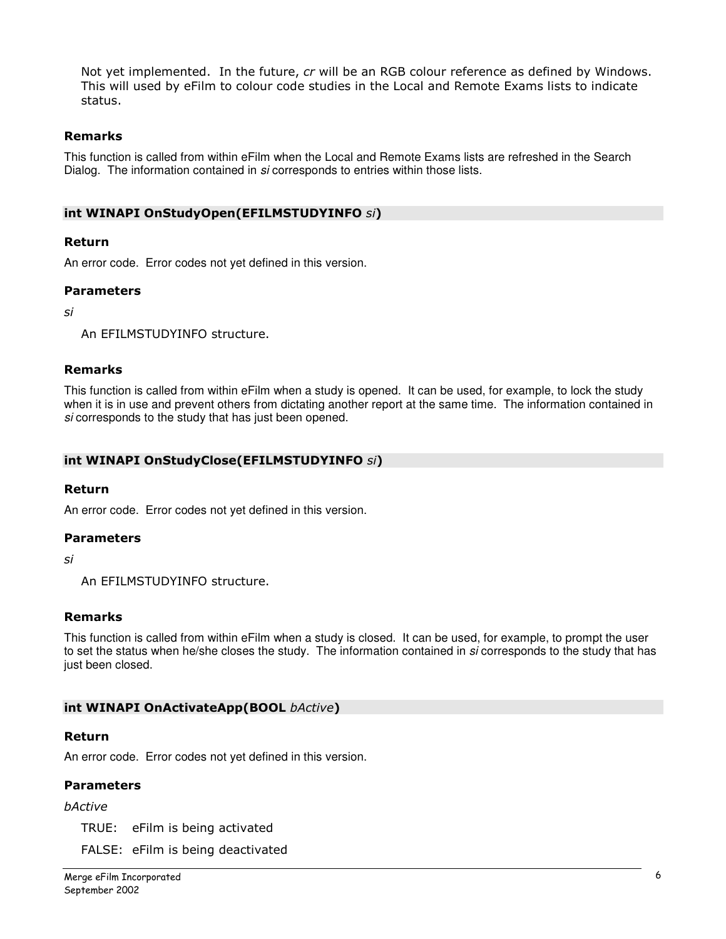Not yet implemented. In the future, cr will be an RGB colour reference as defined by Windows. This will used by eFilm to colour code studies in the Local and Remote Exams lists to indicate status.

## Remarks

This function is called from within eFilm when the Local and Remote Exams lists are refreshed in the Search Dialog. The information contained in si corresponds to entries within those lists.

#### int WINAPI OnStudyOpen(EFILMSTUDYINFO si)

#### Return

An error code. Error codes not yet defined in this version.

#### Parameters

si

An EFILMSTUDYINFO structure.

#### Remarks

This function is called from within eFilm when a study is opened. It can be used, for example, to lock the study when it is in use and prevent others from dictating another report at the same time. The information contained in si corresponds to the study that has just been opened.

#### int WINAPI OnStudyClose(EFILMSTUDYINFO si)

#### Return

An error code. Error codes not yet defined in this version.

#### Parameters

si

An EFILMSTUDYINFO structure.

#### Remarks

This function is called from within eFilm when a study is closed. It can be used, for example, to prompt the user to set the status when he/she closes the study. The information contained in si corresponds to the study that has just been closed.

#### int WINAPI OnActivateApp(BOOL bActive)

#### Return

An error code. Error codes not yet defined in this version.

#### Parameters

#### bActive

TRUE: eFilm is being activated

FALSE: eFilm is being deactivated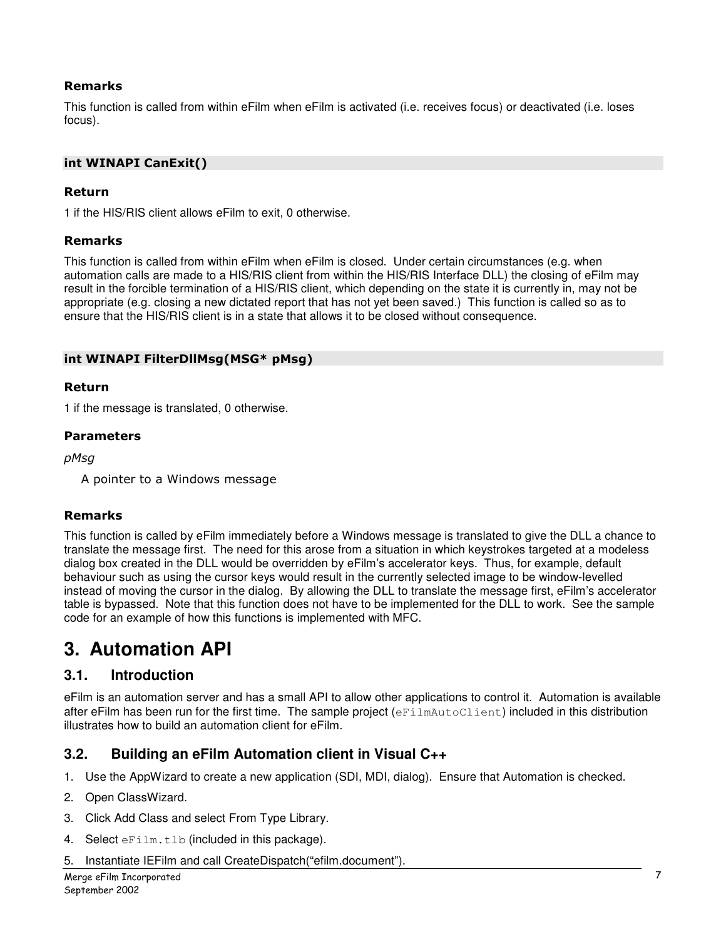## Remarks

This function is called from within eFilm when eFilm is activated (i.e. receives focus) or deactivated (i.e. loses focus).

## int WINAPI CanExit()

#### Return

1 if the HIS/RIS client allows eFilm to exit, 0 otherwise.

#### Remarks

This function is called from within eFilm when eFilm is closed. Under certain circumstances (e.g. when automation calls are made to a HIS/RIS client from within the HIS/RIS Interface DLL) the closing of eFilm may result in the forcible termination of a HIS/RIS client, which depending on the state it is currently in, may not be appropriate (e.g. closing a new dictated report that has not yet been saved.) This function is called so as to ensure that the HIS/RIS client is in a state that allows it to be closed without consequence.

#### int WINAPI FilterDllMsg(MSG\* pMsg)

#### Return

1 if the message is translated, 0 otherwise.

#### Parameters

pMsg

A pointer to a Windows message

#### Remarks

This function is called by eFilm immediately before a Windows message is translated to give the DLL a chance to translate the message first. The need for this arose from a situation in which keystrokes targeted at a modeless dialog box created in the DLL would be overridden by eFilm's accelerator keys. Thus, for example, default behaviour such as using the cursor keys would result in the currently selected image to be window-levelled instead of moving the cursor in the dialog. By allowing the DLL to translate the message first, eFilm's accelerator table is bypassed. Note that this function does not have to be implemented for the DLL to work. See the sample code for an example of how this functions is implemented with MFC.

# **3. Automation API**

## **3.1. Introduction**

eFilm is an automation server and has a small API to allow other applications to control it. Automation is available after eFilm has been run for the first time. The sample project (eFilmAutoClient) included in this distribution illustrates how to build an automation client for eFilm.

## **3.2. Building an eFilm Automation client in Visual C++**

- 1. Use the AppWizard to create a new application (SDI, MDI, dialog). Ensure that Automation is checked.
- 2. Open ClassWizard.
- 3. Click Add Class and select From Type Library.
- 4. Select eFilm.tlb (included in this package).
- 5. Instantiate IEFilm and call CreateDispatch("efilm.document").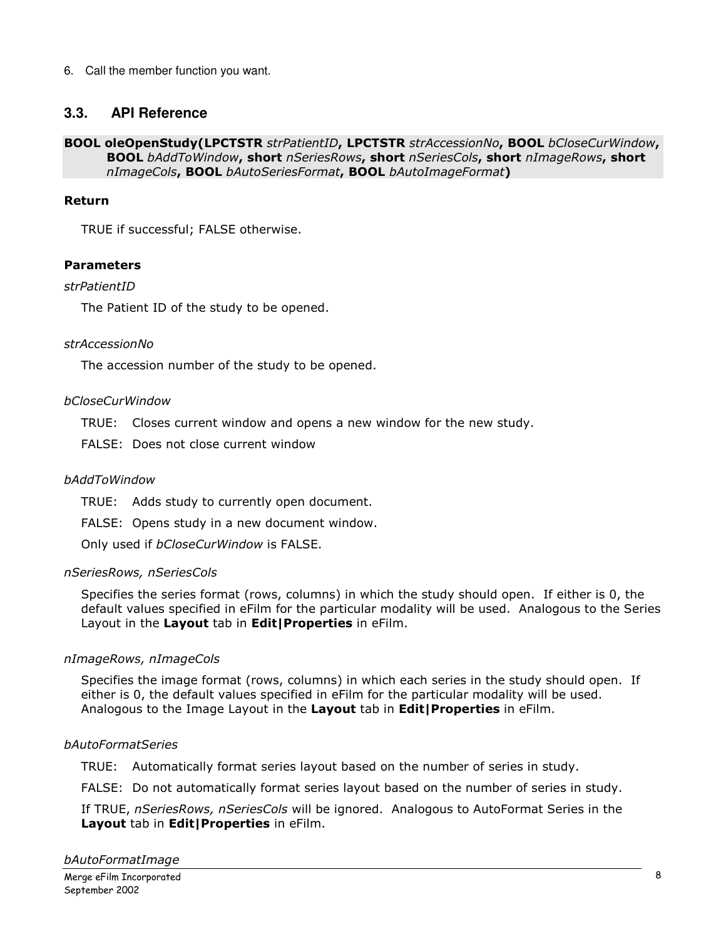6. Call the member function you want.

## **3.3. API Reference**

BOOL oleOpenStudy(LPCTSTR strPatientID, LPCTSTR strAccessionNo, BOOL bCloseCurWindow, **BOOL** bAddToWindow, short nSeriesRows, short nSeriesCols, short nImageRows, short nImageCols, **BOOL** bAutoSeriesFormat, **BOOL** bAutoImageFormat)

## Return

TRUE if successful; FALSE otherwise.

## Parameters

#### strPatientID

The Patient ID of the study to be opened.

#### strAccessionNo

The accession number of the study to be opened.

#### bCloseCurWindow

TRUE: Closes current window and opens a new window for the new study.

FALSE: Does not close current window

## bAddToWindow

TRUE: Adds study to currently open document.

FALSE: Opens study in a new document window.

Only used if bCloseCurWindow is FALSE.

#### nSeriesRows, nSeriesCols

Specifies the series format (rows, columns) in which the study should open. If either is 0, the default values specified in eFilm for the particular modality will be used. Analogous to the Series Layout in the Layout tab in Edit | Properties in eFilm.

## nImageRows, nImageCols

Specifies the image format (rows, columns) in which each series in the study should open. If either is 0, the default values specified in eFilm for the particular modality will be used. Analogous to the Image Layout in the Layout tab in Edit | Properties in eFilm.

#### bAutoFormatSeries

TRUE: Automatically format series layout based on the number of series in study.

FALSE: Do not automatically format series layout based on the number of series in study.

If TRUE, nSeriesRows, nSeriesCols will be ignored. Analogous to AutoFormat Series in the Layout tab in Edit | Properties in eFilm.

bAutoFormatImage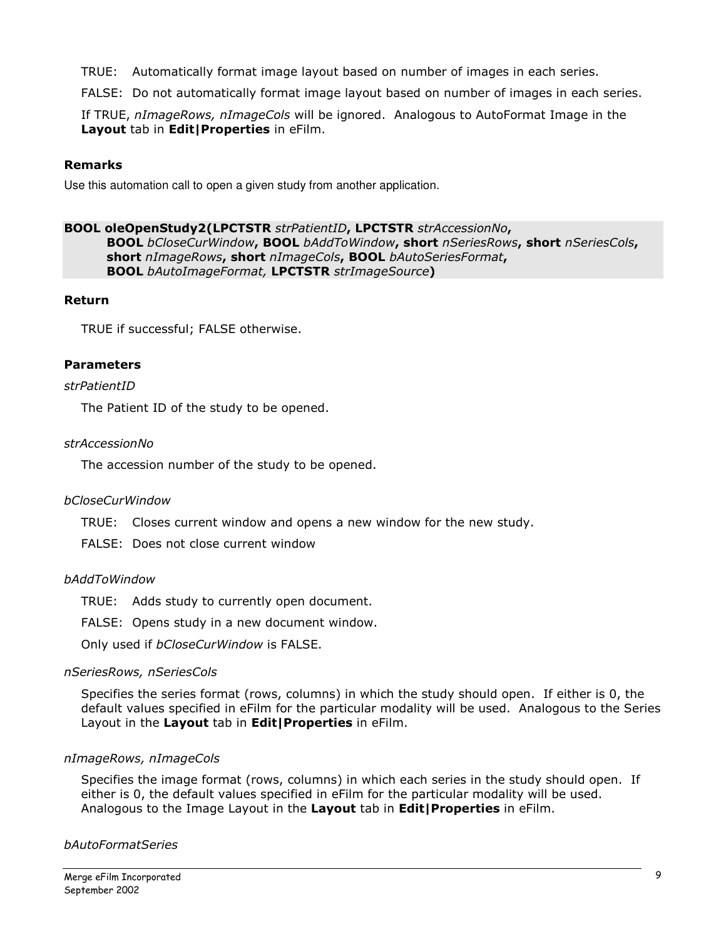TRUE: Automatically format image layout based on number of images in each series.

FALSE: Do not automatically format image layout based on number of images in each series.

If TRUE, nImageRows, nImageCols will be ignored. Analogous to AutoFormat Image in the Layout tab in Edit | Properties in eFilm.

## Remarks

Use this automation call to open a given study from another application.

## BOOL oleOpenStudy2(LPCTSTR strPatientID, LPCTSTR strAccessionNo,

BOOL bCloseCurWindow, BOOL bAddToWindow, short nSeriesRows, short nSeriesCols, short nImageRows, short nImageCols, BOOL bAutoSeriesFormat, **BOOL** bAutoImageFormat, LPCTSTR strImageSource)

## Return

TRUE if successful; FALSE otherwise.

## Parameters

## strPatientID

The Patient ID of the study to be opened.

## strAccessionNo

The accession number of the study to be opened.

## bCloseCurWindow

TRUE: Closes current window and opens a new window for the new study.

FALSE: Does not close current window

## bAddToWindow

TRUE: Adds study to currently open document.

FALSE: Opens study in a new document window.

Only used if bCloseCurWindow is FALSE.

## nSeriesRows, nSeriesCols

Specifies the series format (rows, columns) in which the study should open. If either is 0, the default values specified in eFilm for the particular modality will be used. Analogous to the Series Layout in the Layout tab in Edit | Properties in eFilm.

## nImageRows, nImageCols

Specifies the image format (rows, columns) in which each series in the study should open. If either is 0, the default values specified in eFilm for the particular modality will be used. Analogous to the Image Layout in the Layout tab in Edit | Properties in eFilm.

## bAutoFormatSeries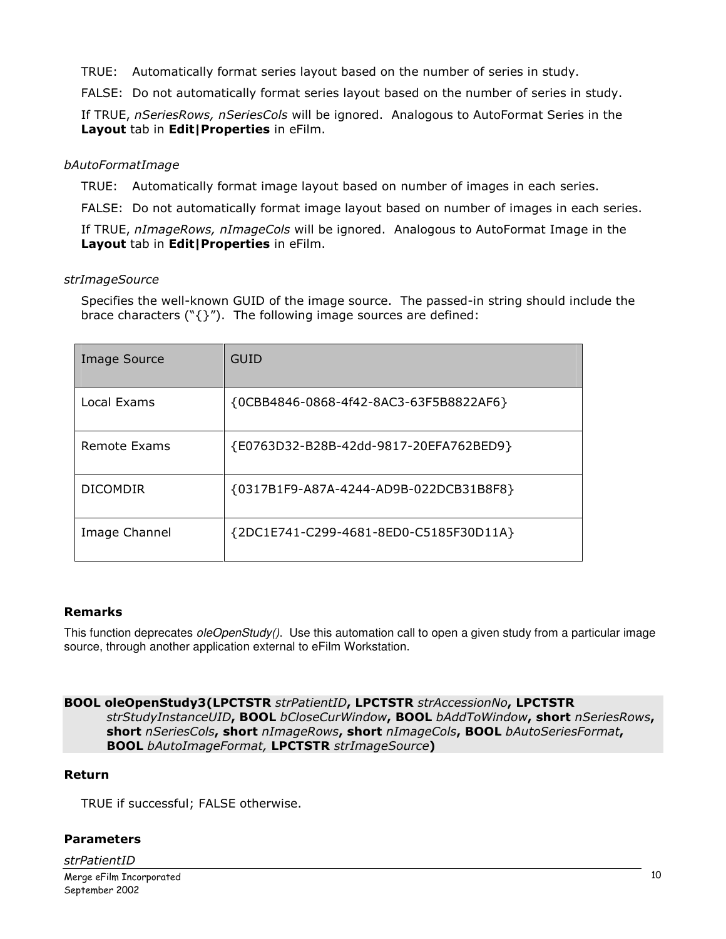TRUE: Automatically format series layout based on the number of series in study.

FALSE: Do not automatically format series layout based on the number of series in study.

If TRUE, nSeriesRows, nSeriesCols will be ignored. Analogous to AutoFormat Series in the Layout tab in Edit|Properties in eFilm.

## bAutoFormatImage

TRUE: Automatically format image layout based on number of images in each series.

FALSE: Do not automatically format image layout based on number of images in each series.

If TRUE, nImageRows, nImageCols will be ignored. Analogous to AutoFormat Image in the Layout tab in Edit | Properties in eFilm.

#### strImageSource

Specifies the well-known GUID of the image source. The passed-in string should include the brace characters ( $\lceil \frac{1}{2} \rceil$ ). The following image sources are defined:

| <b>Image Source</b> | <b>GUID</b>                            |
|---------------------|----------------------------------------|
| Local Exams         | {0CBB4846-0868-4f42-8AC3-63F5B8822AF6} |
| Remote Exams        | {E0763D32-B28B-42dd-9817-20EFA762BED9} |
| <b>DICOMDIR</b>     | {0317B1F9-A87A-4244-AD9B-022DCB31B8F8} |
| Image Channel       | {2DC1E741-C299-4681-8ED0-C5185F30D11A} |

## Remarks

This function deprecates oleOpenStudy(). Use this automation call to open a given study from a particular image source, through another application external to eFilm Workstation.

#### BOOL oleOpenStudy3(LPCTSTR strPatientID, LPCTSTR strAccessionNo, LPCTSTR strStudyInstanceUID, BOOL bCloseCurWindow, BOOL bAddToWindow, short nSeriesRows, short nSeriesCols, short nImageRows, short nImageCols, BOOL bAutoSeriesFormat, **BOOL** bAutoImageFormat, LPCTSTR strImageSource)

## Return

TRUE if successful; FALSE otherwise.

## Parameters

strPatientID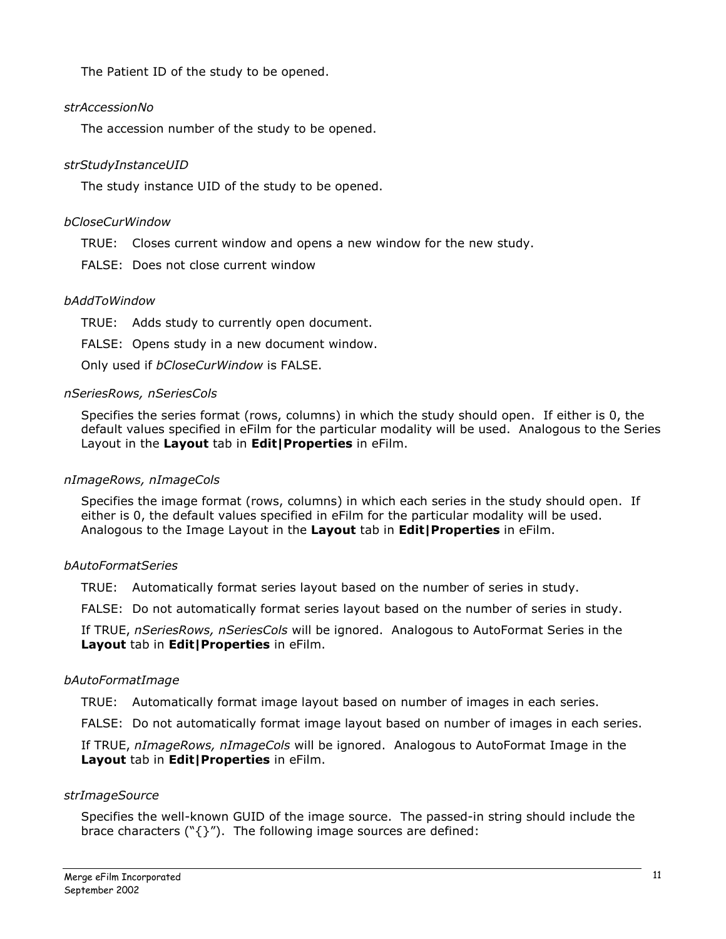The Patient ID of the study to be opened.

## strAccessionNo

The accession number of the study to be opened.

## strStudyInstanceUID

The study instance UID of the study to be opened.

## bCloseCurWindow

- TRUE: Closes current window and opens a new window for the new study.
- FALSE: Does not close current window

## bAddToWindow

TRUE: Adds study to currently open document.

FALSE: Opens study in a new document window.

Only used if bCloseCurWindow is FALSE.

## nSeriesRows, nSeriesCols

Specifies the series format (rows, columns) in which the study should open. If either is 0, the default values specified in eFilm for the particular modality will be used. Analogous to the Series Layout in the Layout tab in Edit | Properties in eFilm.

## nImageRows, nImageCols

Specifies the image format (rows, columns) in which each series in the study should open. If either is 0, the default values specified in eFilm for the particular modality will be used. Analogous to the Image Layout in the Layout tab in Edit | Properties in eFilm.

## bAutoFormatSeries

TRUE: Automatically format series layout based on the number of series in study.

FALSE: Do not automatically format series layout based on the number of series in study.

If TRUE, nSeriesRows, nSeriesCols will be ignored. Analogous to AutoFormat Series in the Layout tab in Edit|Properties in eFilm.

## bAutoFormatImage

TRUE: Automatically format image layout based on number of images in each series.

FALSE: Do not automatically format image layout based on number of images in each series.

If TRUE, nImageRows, nImageCols will be ignored. Analogous to AutoFormat Image in the Layout tab in Edit|Properties in eFilm.

## strImageSource

Specifies the well-known GUID of the image source. The passed-in string should include the brace characters ( $\lceil \frac{1}{2} \rceil$ ). The following image sources are defined: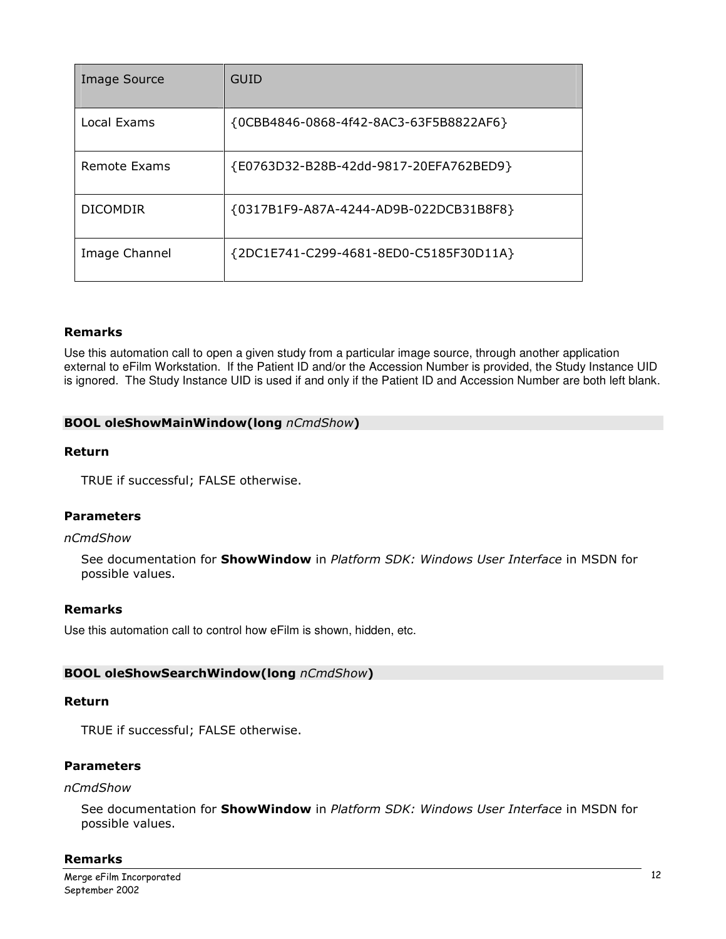| Image Source    | <b>GUID</b>                            |
|-----------------|----------------------------------------|
| Local Exams     | {0CBB4846-0868-4f42-8AC3-63F5B8822AF6} |
| Remote Exams    | {E0763D32-B28B-42dd-9817-20EFA762BED9} |
| <b>DICOMDIR</b> | {0317B1F9-A87A-4244-AD9B-022DCB31B8F8} |
| Image Channel   | {2DC1E741-C299-4681-8ED0-C5185F30D11A} |

#### Remarks

Use this automation call to open a given study from a particular image source, through another application external to eFilm Workstation. If the Patient ID and/or the Accession Number is provided, the Study Instance UID is ignored. The Study Instance UID is used if and only if the Patient ID and Accession Number are both left blank.

#### BOOL oleShowMainWindow(long nCmdShow)

#### Return

TRUE if successful; FALSE otherwise.

#### **Parameters**

#### nCmdShow

See documentation for **ShowWindow** in Platform SDK: Windows User Interface in MSDN for possible values.

#### Remarks

Use this automation call to control how eFilm is shown, hidden, etc.

#### BOOL oleShowSearchWindow(long nCmdShow)

#### Return

TRUE if successful; FALSE otherwise.

#### Parameters

#### nCmdShow

See documentation for **ShowWindow** in Platform SDK: Windows User Interface in MSDN for possible values.

#### Remarks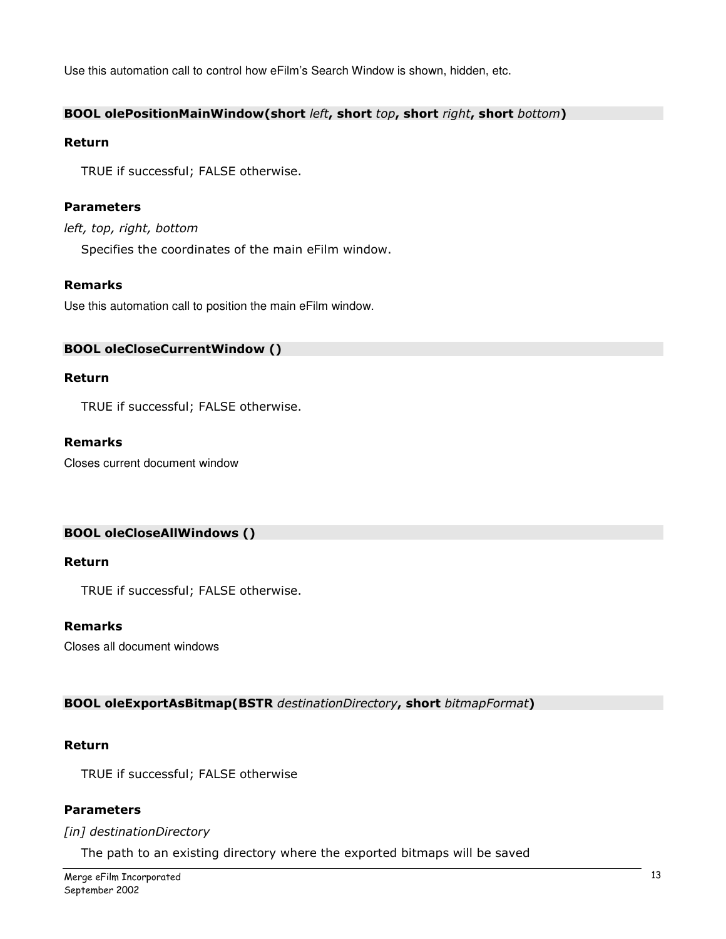Use this automation call to control how eFilm's Search Window is shown, hidden, etc.

## BOOL olePositionMainWindow(short left, short top, short right, short bottom)

#### Return

TRUE if successful; FALSE otherwise.

## Parameters

## left, top, right, bottom

Specifies the coordinates of the main eFilm window.

## Remarks

Use this automation call to position the main eFilm window.

#### BOOL oleCloseCurrentWindow ()

#### Return

TRUE if successful; FALSE otherwise.

#### Remarks

Closes current document window

#### BOOL oleCloseAllWindows ()

#### Return

TRUE if successful; FALSE otherwise.

#### Remarks

Closes all document windows

#### BOOL oleExportAsBitmap(BSTR destinationDirectory, short bitmapFormat)

#### Return

TRUE if successful; FALSE otherwise

#### Parameters

#### [in] destinationDirectory

The path to an existing directory where the exported bitmaps will be saved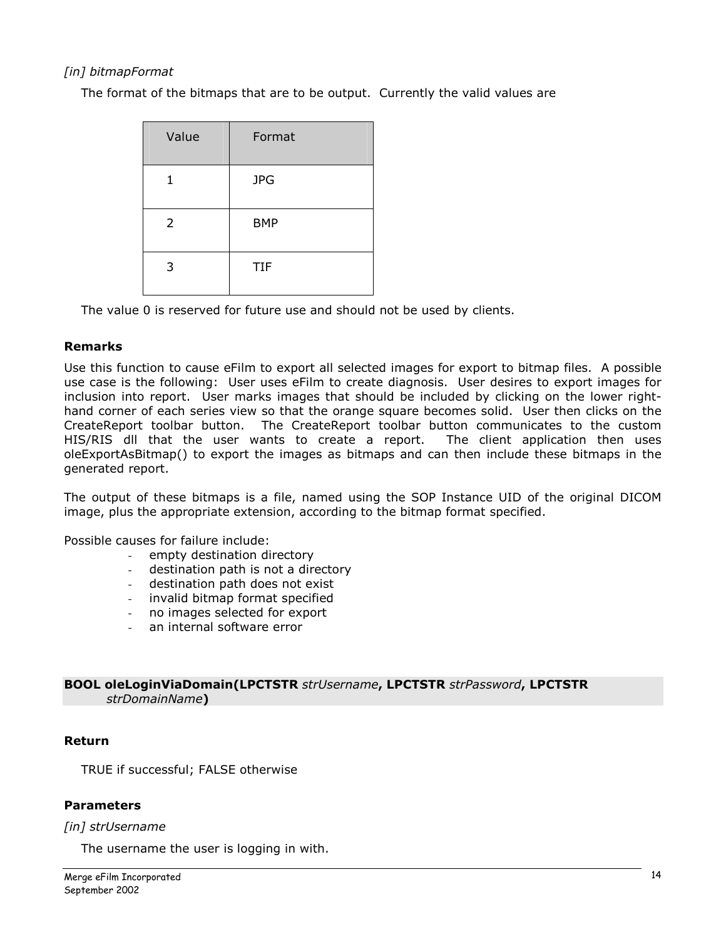## [in] bitmapFormat

The format of the bitmaps that are to be output. Currently the valid values are

| Value          | Format     |
|----------------|------------|
| 1              | <b>JPG</b> |
| $\overline{2}$ | <b>BMP</b> |
| 3              | <b>TIF</b> |

The value 0 is reserved for future use and should not be used by clients.

#### Remarks

Use this function to cause eFilm to export all selected images for export to bitmap files. A possible use case is the following: User uses eFilm to create diagnosis. User desires to export images for inclusion into report. User marks images that should be included by clicking on the lower righthand corner of each series view so that the orange square becomes solid. User then clicks on the CreateReport toolbar button. The CreateReport toolbar button communicates to the custom HIS/RIS dll that the user wants to create a report. The client application then uses oleExportAsBitmap() to export the images as bitmaps and can then include these bitmaps in the generated report.

The output of these bitmaps is a file, named using the SOP Instance UID of the original DICOM image, plus the appropriate extension, according to the bitmap format specified.

Possible causes for failure include:

- empty destination directory
- destination path is not a directory
- destination path does not exist
- invalid bitmap format specified
- no images selected for export
- an internal software error

#### BOOL oleLoginViaDomain(LPCTSTR strUsername, LPCTSTR strPassword, LPCTSTR strDomainName)

#### Return

TRUE if successful; FALSE otherwise

## Parameters

#### [in] strUsername

The username the user is logging in with.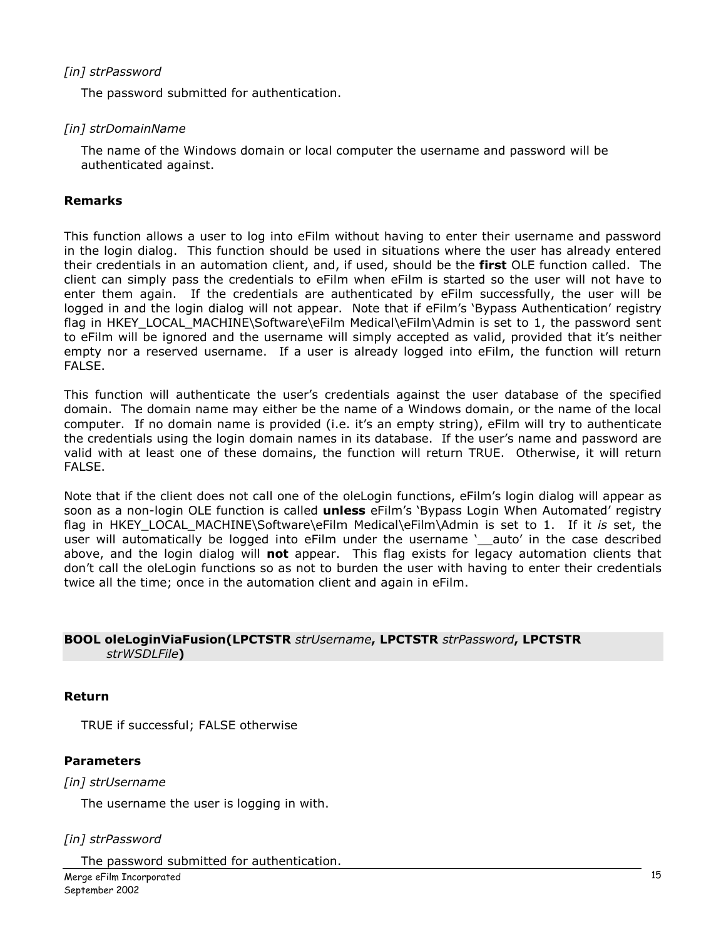## [in] strPassword

The password submitted for authentication.

## [in] strDomainName

The name of the Windows domain or local computer the username and password will be authenticated against.

#### Remarks

This function allows a user to log into eFilm without having to enter their username and password in the login dialog. This function should be used in situations where the user has already entered their credentials in an automation client, and, if used, should be the **first** OLE function called. The client can simply pass the credentials to eFilm when eFilm is started so the user will not have to enter them again. If the credentials are authenticated by eFilm successfully, the user will be logged in and the login dialog will not appear. Note that if eFilm's 'Bypass Authentication' registry flag in HKEY\_LOCAL\_MACHINE\Software\eFilm Medical\eFilm\Admin is set to 1, the password sent to eFilm will be ignored and the username will simply accepted as valid, provided that it's neither empty nor a reserved username. If a user is already logged into eFilm, the function will return FALSE.

This function will authenticate the user's credentials against the user database of the specified domain. The domain name may either be the name of a Windows domain, or the name of the local computer. If no domain name is provided (i.e. it's an empty string), eFilm will try to authenticate the credentials using the login domain names in its database. If the user's name and password are valid with at least one of these domains, the function will return TRUE. Otherwise, it will return FALSE.

Note that if the client does not call one of the oleLogin functions, eFilm's login dialog will appear as soon as a non-login OLE function is called **unless** eFilm's 'Bypass Login When Automated' registry flag in HKEY\_LOCAL\_MACHINE\Software\eFilm Medical\eFilm\Admin is set to 1. If it is set, the user will automatically be logged into eFilm under the username '\_auto' in the case described above, and the login dialog will not appear. This flag exists for legacy automation clients that don't call the oleLogin functions so as not to burden the user with having to enter their credentials twice all the time; once in the automation client and again in eFilm.

#### BOOL oleLoginViaFusion(LPCTSTR strUsername, LPCTSTR strPassword, LPCTSTR strWSDLFile)

#### Return

TRUE if successful; FALSE otherwise

## Parameters

## [in] strUsername

The username the user is logging in with.

## [in] strPassword

The password submitted for authentication.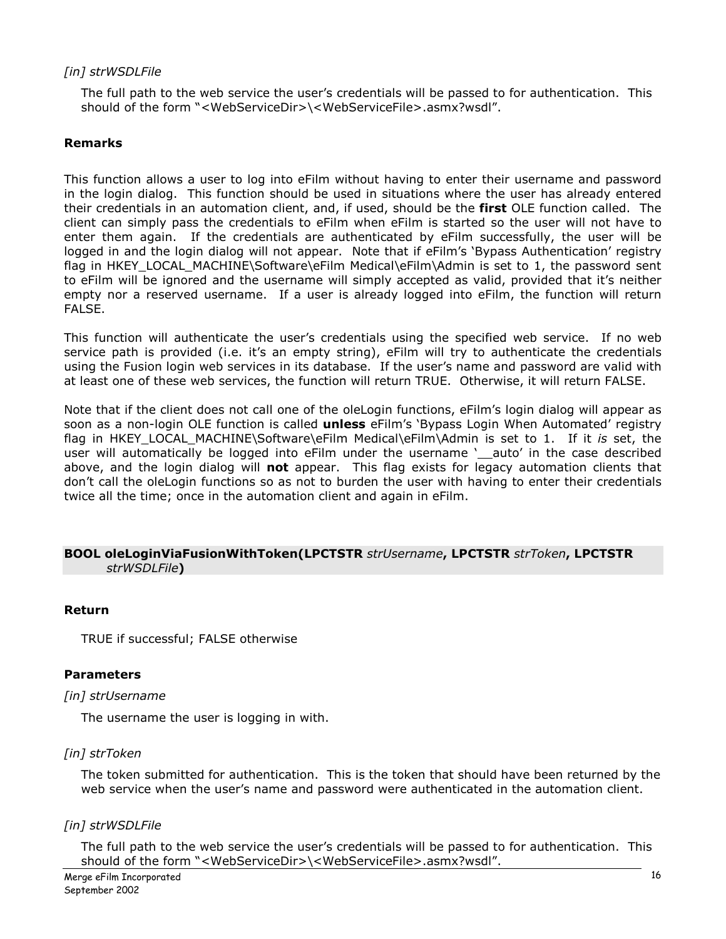## [in] strWSDLFile

The full path to the web service the user's credentials will be passed to for authentication. This should of the form "<WebServiceDir>\<WebServiceFile>.asmx?wsdl".

## Remarks

This function allows a user to log into eFilm without having to enter their username and password in the login dialog. This function should be used in situations where the user has already entered their credentials in an automation client, and, if used, should be the first OLE function called. The client can simply pass the credentials to eFilm when eFilm is started so the user will not have to enter them again. If the credentials are authenticated by eFilm successfully, the user will be logged in and the login dialog will not appear. Note that if eFilm's 'Bypass Authentication' registry flag in HKEY\_LOCAL\_MACHINE\Software\eFilm Medical\eFilm\Admin is set to 1, the password sent to eFilm will be ignored and the username will simply accepted as valid, provided that it's neither empty nor a reserved username. If a user is already logged into eFilm, the function will return FALSE.

This function will authenticate the user's credentials using the specified web service. If no web service path is provided (i.e. it's an empty string), eFilm will try to authenticate the credentials using the Fusion login web services in its database. If the user's name and password are valid with at least one of these web services, the function will return TRUE. Otherwise, it will return FALSE.

Note that if the client does not call one of the oleLogin functions, eFilm's login dialog will appear as soon as a non-login OLE function is called unless eFilm's 'Bypass Login When Automated' registry flag in HKEY\_LOCAL\_MACHINE\Software\eFilm Medical\eFilm\Admin is set to 1. If it is set, the user will automatically be logged into eFilm under the username 'auto' in the case described above, and the login dialog will not appear. This flag exists for legacy automation clients that don't call the oleLogin functions so as not to burden the user with having to enter their credentials twice all the time; once in the automation client and again in eFilm.

#### BOOL oleLoginViaFusionWithToken(LPCTSTR strUsername, LPCTSTR strToken, LPCTSTR strWSDLFile)

#### Return

TRUE if successful; FALSE otherwise

#### Parameters

#### [in] strUsername

The username the user is logging in with.

#### [in] strToken

The token submitted for authentication. This is the token that should have been returned by the web service when the user's name and password were authenticated in the automation client.

## [in] strWSDLFile

The full path to the web service the user's credentials will be passed to for authentication. This should of the form "<WebServiceDir>\<WebServiceFile>.asmx?wsdl".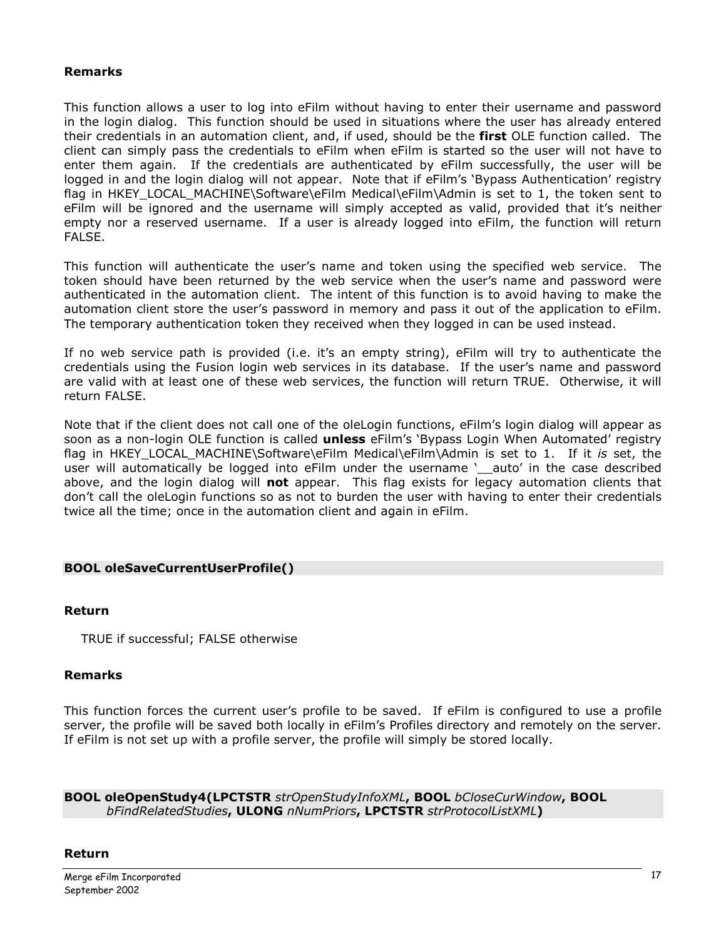## Remarks

This function allows a user to log into eFilm without having to enter their username and password in the login dialog. This function should be used in situations where the user has already entered their credentials in an automation client, and, if used, should be the first OLE function called. The client can simply pass the credentials to eFilm when eFilm is started so the user will not have to enter them again. If the credentials are authenticated by eFilm successfully, the user will be logged in and the login dialog will not appear. Note that if eFilm's 'Bypass Authentication' registry flag in HKEY\_LOCAL\_MACHINE\Software\eFilm Medical\eFilm\Admin is set to 1, the token sent to eFilm will be ignored and the username will simply accepted as valid, provided that it's neither empty nor a reserved username. If a user is already logged into eFilm, the function will return FALSE.

This function will authenticate the user's name and token using the specified web service. The token should have been returned by the web service when the user's name and password were authenticated in the automation client. The intent of this function is to avoid having to make the automation client store the user's password in memory and pass it out of the application to eFilm. The temporary authentication token they received when they logged in can be used instead.

If no web service path is provided (i.e. it's an empty string), eFilm will try to authenticate the credentials using the Fusion login web services in its database. If the user's name and password are valid with at least one of these web services, the function will return TRUE. Otherwise, it will return FALSE.

Note that if the client does not call one of the oleLogin functions, eFilm's login dialog will appear as soon as a non-login OLE function is called **unless** eFilm's 'Bypass Login When Automated' registry flag in HKEY\_LOCAL\_MACHINE\Software\eFilm Medical\eFilm\Admin is set to 1. If it is set, the user will automatically be logged into eFilm under the username '\_auto' in the case described above, and the login dialog will not appear. This flag exists for legacy automation clients that don't call the oleLogin functions so as not to burden the user with having to enter their credentials twice all the time; once in the automation client and again in eFilm.

## BOOL oleSaveCurrentUserProfile()

#### Return

TRUE if successful; FALSE otherwise

#### Remarks

This function forces the current user's profile to be saved. If eFilm is configured to use a profile server, the profile will be saved both locally in eFilm's Profiles directory and remotely on the server. If eFilm is not set up with a profile server, the profile will simply be stored locally.

BOOL oleOpenStudy4(LPCTSTR strOpenStudyInfoXML, BOOL bCloseCurWindow, BOOL bFindRelatedStudies, ULONG nNumPriors, LPCTSTR strProtocolListXML)

#### Return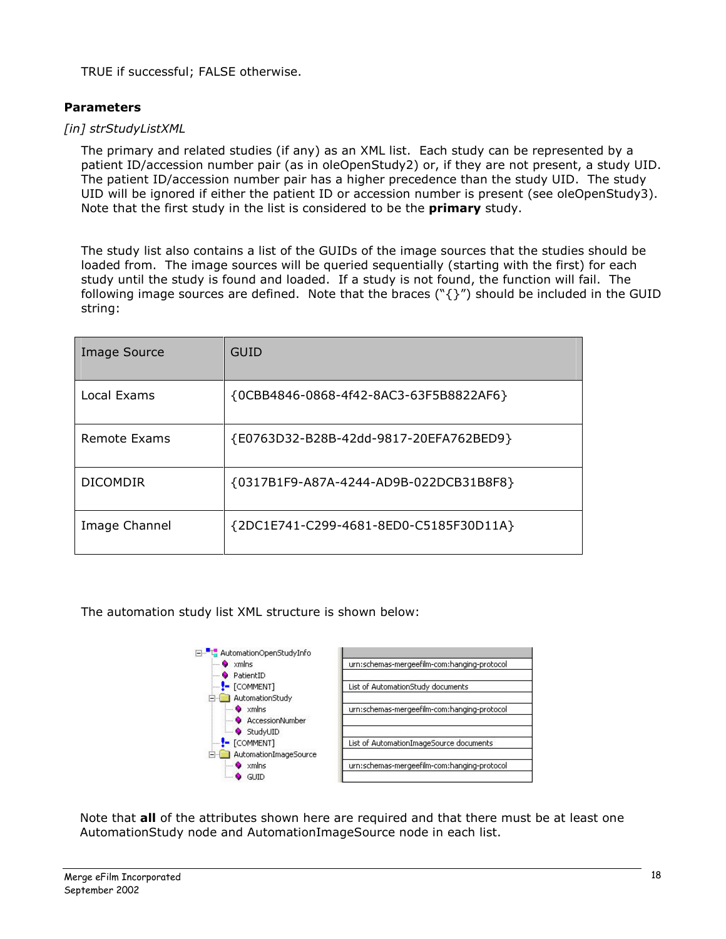TRUE if successful; FALSE otherwise.

## **Parameters**

## [in] strStudyListXML

The primary and related studies (if any) as an XML list. Each study can be represented by a patient ID/accession number pair (as in oleOpenStudy2) or, if they are not present, a study UID. The patient ID/accession number pair has a higher precedence than the study UID. The study UID will be ignored if either the patient ID or accession number is present (see oleOpenStudy3). Note that the first study in the list is considered to be the primary study.

The study list also contains a list of the GUIDs of the image sources that the studies should be loaded from. The image sources will be queried sequentially (starting with the first) for each study until the study is found and loaded. If a study is not found, the function will fail. The following image sources are defined. Note that the braces (" $\{\}$ ") should be included in the GUID string:

| <b>Image Source</b> | GUID                                   |
|---------------------|----------------------------------------|
| Local Exams         | {0CBB4846-0868-4f42-8AC3-63F5B8822AF6} |
| Remote Exams        | {E0763D32-B28B-42dd-9817-20EFA762BED9} |
| <b>DICOMDIR</b>     | {0317B1F9-A87A-4244-AD9B-022DCB31B8F8} |
| Image Channel       | {2DC1E741-C299-4681-8ED0-C5185F30D11A} |

The automation study list XML structure is shown below:



Note that all of the attributes shown here are required and that there must be at least one AutomationStudy node and AutomationImageSource node in each list.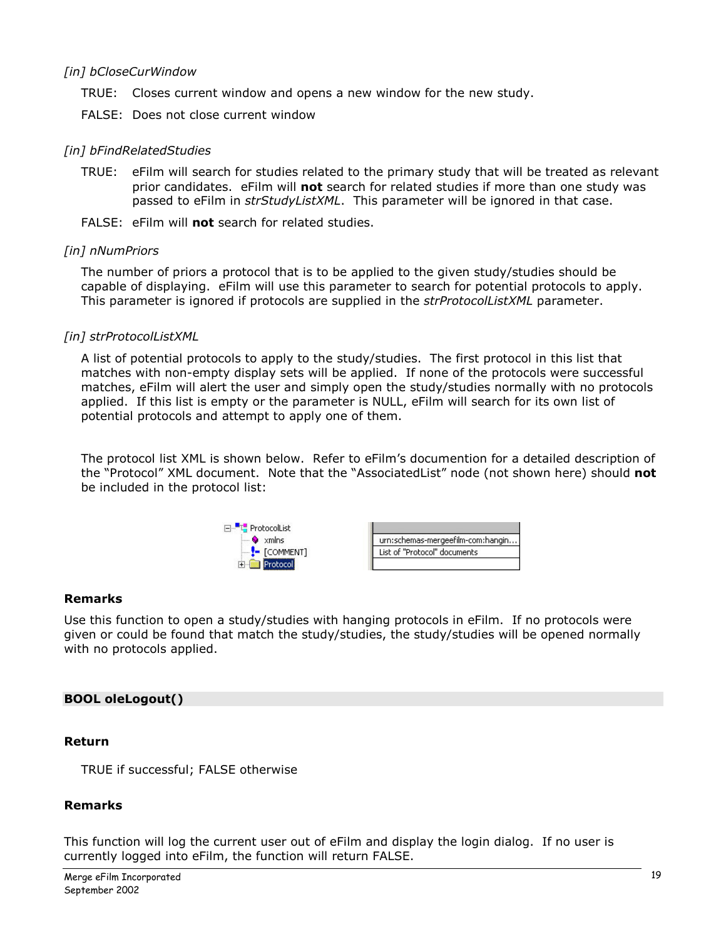## [in] bCloseCurWindow

- TRUE: Closes current window and opens a new window for the new study.
- FALSE: Does not close current window

#### [in] bFindRelatedStudies

- TRUE: eFilm will search for studies related to the primary study that will be treated as relevant prior candidates. eFilm will not search for related studies if more than one study was passed to eFilm in strStudyListXML. This parameter will be ignored in that case.
- FALSE: eFilm will not search for related studies.

#### [in] nNumPriors

The number of priors a protocol that is to be applied to the given study/studies should be capable of displaying. eFilm will use this parameter to search for potential protocols to apply. This parameter is ignored if protocols are supplied in the strProtocolListXML parameter.

#### [in] strProtocolListXML

A list of potential protocols to apply to the study/studies. The first protocol in this list that matches with non-empty display sets will be applied. If none of the protocols were successful matches, eFilm will alert the user and simply open the study/studies normally with no protocols applied. If this list is empty or the parameter is NULL, eFilm will search for its own list of potential protocols and attempt to apply one of them.

The protocol list XML is shown below. Refer to eFilm's documention for a detailed description of the "Protocol" XML document. Note that the "AssociatedList" node (not shown here) should not be included in the protocol list:



#### Remarks

Use this function to open a study/studies with hanging protocols in eFilm. If no protocols were given or could be found that match the study/studies, the study/studies will be opened normally with no protocols applied.

## BOOL oleLogout()

#### Return

TRUE if successful; FALSE otherwise

## Remarks

This function will log the current user out of eFilm and display the login dialog. If no user is currently logged into eFilm, the function will return FALSE.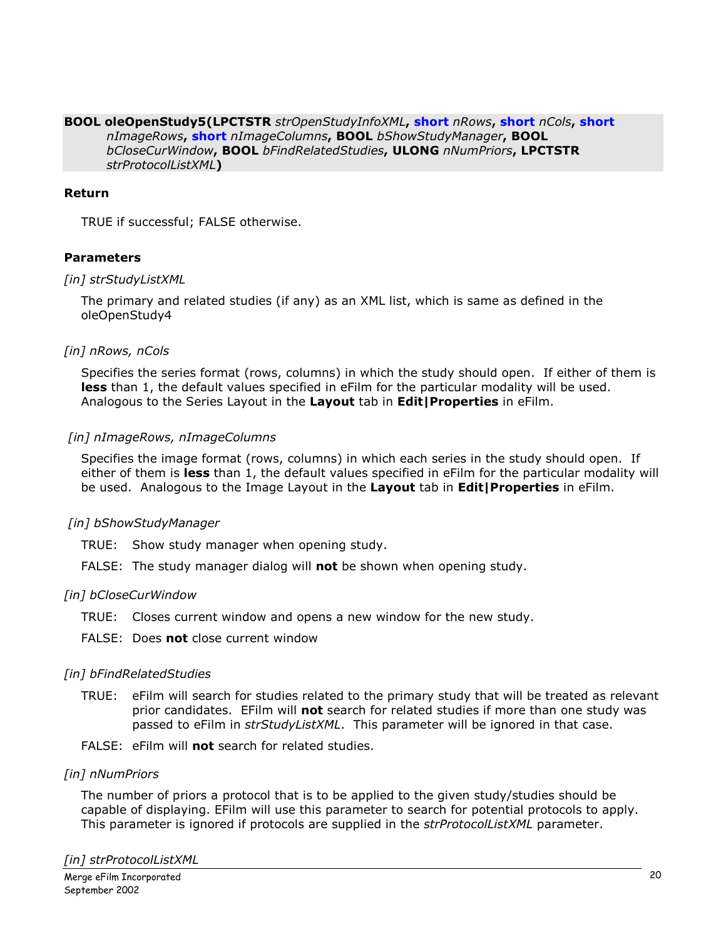#### BOOL oleOpenStudy5(LPCTSTR strOpenStudyInfoXML, short nRows, short nCols, short nImageRows, short nImageColumns, BOOL bShowStudyManager, BOOL bCloseCurWindow, BOOL bFindRelatedStudies, ULONG nNumPriors, LPCTSTR strProtocolListXML)

## Return

TRUE if successful; FALSE otherwise.

#### Parameters

#### [in] strStudyListXML

The primary and related studies (if any) as an XML list, which is same as defined in the oleOpenStudy4

#### [in] nRows, nCols

Specifies the series format (rows, columns) in which the study should open. If either of them is less than 1, the default values specified in eFilm for the particular modality will be used. Analogous to the Series Layout in the Layout tab in Edit | Properties in eFilm.

#### [in] nImageRows, nImageColumns

Specifies the image format (rows, columns) in which each series in the study should open. If either of them is less than 1, the default values specified in eFilm for the particular modality will be used. Analogous to the Image Layout in the Layout tab in Edit | Properties in eFilm.

## [in] bShowStudyManager

TRUE: Show study manager when opening study.

FALSE: The study manager dialog will not be shown when opening study.

## [in] bCloseCurWindow

- TRUE: Closes current window and opens a new window for the new study.
- FALSE: Does **not** close current window

#### [in] bFindRelatedStudies

- TRUE: eFilm will search for studies related to the primary study that will be treated as relevant prior candidates. EFilm will not search for related studies if more than one study was passed to eFilm in strStudyListXML. This parameter will be ignored in that case.
- FALSE: eFilm will not search for related studies.

#### [in] nNumPriors

The number of priors a protocol that is to be applied to the given study/studies should be capable of displaying. EFilm will use this parameter to search for potential protocols to apply. This parameter is ignored if protocols are supplied in the strProtocolListXML parameter.

[in] strProtocolListXML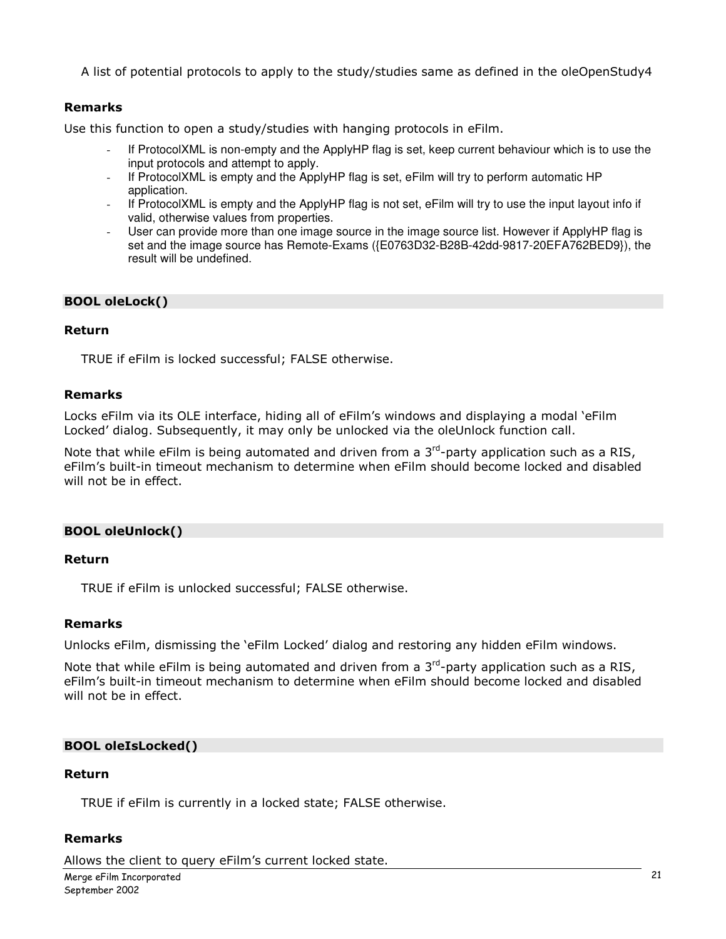A list of potential protocols to apply to the study/studies same as defined in the oleOpenStudy4

## Remarks

Use this function to open a study/studies with hanging protocols in eFilm.

- If ProtocolXML is non-empty and the ApplyHP flag is set, keep current behaviour which is to use the input protocols and attempt to apply.
- If ProtocolXML is empty and the ApplyHP flag is set, eFilm will try to perform automatic HP application.
- If ProtocolXML is empty and the ApplyHP flag is not set, eFilm will try to use the input layout info if valid, otherwise values from properties.
- User can provide more than one image source in the image source list. However if ApplyHP flag is set and the image source has Remote-Exams ({E0763D32-B28B-42dd-9817-20EFA762BED9}), the result will be undefined.

## BOOL oleLock()

#### Return

TRUE if eFilm is locked successful; FALSE otherwise.

#### Remarks

Locks eFilm via its OLE interface, hiding all of eFilm's windows and displaying a modal 'eFilm Locked' dialog. Subsequently, it may only be unlocked via the oleUnlock function call.

Note that while eFilm is being automated and driven from a  $3<sup>rd</sup>$ -party application such as a RIS, eFilm's built-in timeout mechanism to determine when eFilm should become locked and disabled will not be in effect.

## BOOL oleUnlock()

#### Return

TRUE if eFilm is unlocked successful; FALSE otherwise.

## Remarks

Unlocks eFilm, dismissing the 'eFilm Locked' dialog and restoring any hidden eFilm windows.

Note that while eFilm is being automated and driven from a  $3<sup>rd</sup>$ -party application such as a RIS, eFilm's built-in timeout mechanism to determine when eFilm should become locked and disabled will not be in effect.

## BOOL oleIsLocked()

#### Return

TRUE if eFilm is currently in a locked state; FALSE otherwise.

#### Remarks

Allows the client to query eFilm's current locked state.